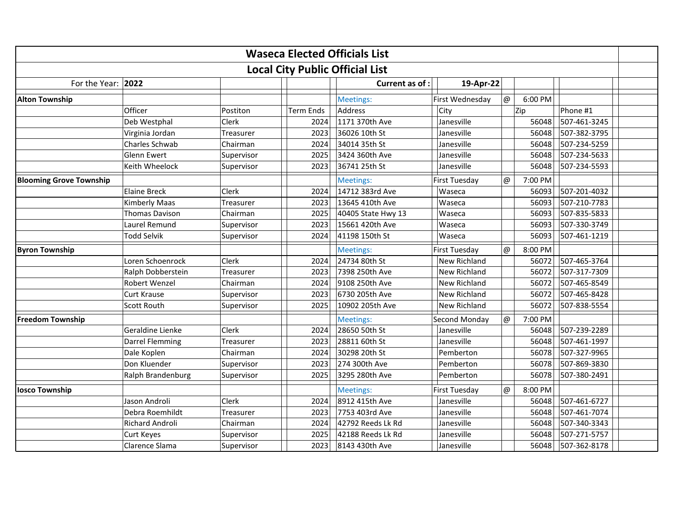| <b>Waseca Elected Officials List</b><br><b>Local City Public Official List</b> |                        |              |                  |                    |                      |                            |              |  |  |
|--------------------------------------------------------------------------------|------------------------|--------------|------------------|--------------------|----------------------|----------------------------|--------------|--|--|
|                                                                                |                        |              |                  |                    |                      |                            |              |  |  |
| <b>Alton Township</b>                                                          |                        |              |                  | Meetings:          | First Wednesday      | $\omega$<br>6:00 PM        |              |  |  |
|                                                                                | Officer                | Postiton     | <b>Term Ends</b> | Address            | City                 | Zip                        | Phone #1     |  |  |
|                                                                                | Deb Westphal           | Clerk        | 2024             | 1171 370th Ave     | Janesville           | 56048                      | 507-461-3245 |  |  |
|                                                                                | Virginia Jordan        | Treasurer    | 2023             | 36026 10th St      | Janesville           | 56048                      | 507-382-3795 |  |  |
|                                                                                | Charles Schwab         | Chairman     | 2024             | 34014 35th St      | Janesville           | 56048                      | 507-234-5259 |  |  |
|                                                                                | <b>Glenn Ewert</b>     | Supervisor   | 2025             | 3424 360th Ave     | Janesville           | 56048                      | 507-234-5633 |  |  |
|                                                                                | Keith Wheelock         | Supervisor   | 2023             | 36741 25th St      | Janesville           | 56048                      | 507-234-5593 |  |  |
| <b>Blooming Grove Township</b>                                                 |                        |              |                  | Meetings:          | <b>First Tuesday</b> | 7:00 PM<br>$^{\copyright}$ |              |  |  |
|                                                                                | <b>Elaine Breck</b>    | <b>Clerk</b> | 2024             | 14712 383rd Ave    | Waseca               | 56093                      | 507-201-4032 |  |  |
|                                                                                | <b>Kimberly Maas</b>   | Treasurer    | 2023             | 13645 410th Ave    | Waseca               | 56093                      | 507-210-7783 |  |  |
|                                                                                | Thomas Davison         | Chairman     | 2025             | 40405 State Hwy 13 | Waseca               | 56093                      | 507-835-5833 |  |  |
|                                                                                | Laurel Remund          | Supervisor   | 2023             | 15661 420th Ave    | Waseca               | 56093                      | 507-330-3749 |  |  |
|                                                                                | Todd Selvik            | Supervisor   | 2024             | 41198 150th St     | Waseca               | 56093                      | 507-461-1219 |  |  |
| <b>Byron Township</b>                                                          |                        |              |                  | Meetings:          | <b>First Tuesday</b> | 8:00 PM<br>@               |              |  |  |
|                                                                                | Loren Schoenrock       | <b>Clerk</b> | 2024             | 24734 80th St      | New Richland         | 56072                      | 507-465-3764 |  |  |
|                                                                                | Ralph Dobberstein      | Treasurer    | 2023             | 7398 250th Ave     | New Richland         | 56072                      | 507-317-7309 |  |  |
|                                                                                | Robert Wenzel          | Chairman     | 2024             | 9108 250th Ave     | New Richland         | 56072                      | 507-465-8549 |  |  |
|                                                                                | <b>Curt Krause</b>     | Supervisor   | 2023             | 6730 205th Ave     | <b>New Richland</b>  | 56072                      | 507-465-8428 |  |  |
|                                                                                | Scott Routh            | Supervisor   | 2025             | 10902 205th Ave    | New Richland         | 56072                      | 507-838-5554 |  |  |
| <b>Freedom Township</b>                                                        |                        |              |                  | Meetings:          | Second Monday        | 7:00 PM<br>$\omega$        |              |  |  |
|                                                                                | Geraldine Lienke       | Clerk        | 2024             | 28650 50th St      | Janesville           | 56048                      | 507-239-2289 |  |  |
|                                                                                | Darrel Flemming        | Treasurer    | 2023             | 28811 60th St      | Janesville           | 56048                      | 507-461-1997 |  |  |
|                                                                                | Dale Koplen            | Chairman     | 2024             | 30298 20th St      | Pemberton            | 56078                      | 507-327-9965 |  |  |
|                                                                                | Don Kluender           | Supervisor   | 2023             | 274 300th Ave      | Pemberton            | 56078                      | 507-869-3830 |  |  |
|                                                                                | Ralph Brandenburg      | Supervisor   | 2025             | 3295 280th Ave     | Pemberton            | 56078                      | 507-380-2491 |  |  |
| <b>losco Township</b>                                                          |                        |              |                  | Meetings:          | <b>First Tuesday</b> | 8:00 PM<br>@               |              |  |  |
|                                                                                | Jason Androli          | Clerk        | 2024             | 8912 415th Ave     | Janesville           | 56048                      | 507-461-6727 |  |  |
|                                                                                | Debra Roemhildt        | Treasurer    | 2023             | 7753 403rd Ave     | Janesville           | 56048                      | 507-461-7074 |  |  |
|                                                                                | <b>Richard Androli</b> | Chairman     | 2024             | 42792 Reeds Lk Rd  | Janesville           | 56048                      | 507-340-3343 |  |  |
|                                                                                | <b>Curt Keyes</b>      | Supervisor   | 2025             | 42188 Reeds Lk Rd  | Janesville           | 56048                      | 507-271-5757 |  |  |
|                                                                                | Clarence Slama         | Supervisor   | 2023             | 8143 430th Ave     | Janesville           | 56048                      | 507-362-8178 |  |  |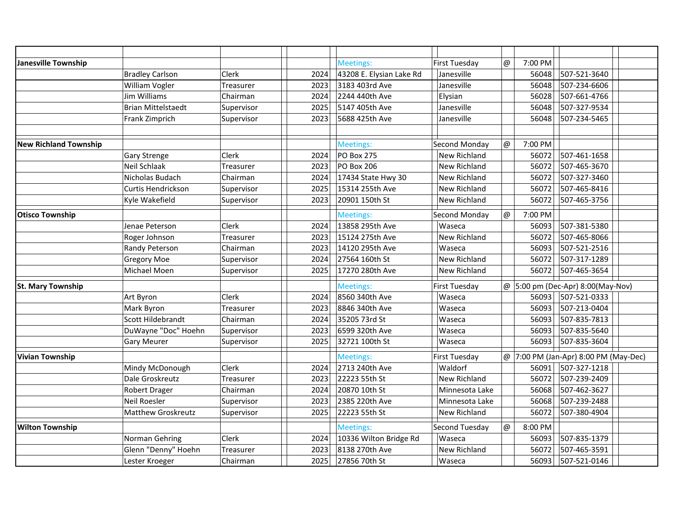| Janesville Township          |                           |            |      | Meetings:                | <b>First Tuesday</b> | @           | 7:00 PM |                                           |  |  |
|------------------------------|---------------------------|------------|------|--------------------------|----------------------|-------------|---------|-------------------------------------------|--|--|
|                              | <b>Bradley Carlson</b>    | Clerk      | 2024 | 43208 E. Elysian Lake Rd | Janesville           |             | 56048   | 507-521-3640                              |  |  |
|                              | William Vogler            | Treasurer  | 2023 | 3183 403rd Ave           | Janesville           |             | 56048   | 507-234-6606                              |  |  |
|                              | Jim Williams              | Chairman   | 2024 | 2244 440th Ave           | Elysian              |             | 56028   | 507-661-4766                              |  |  |
|                              | <b>Brian Mittelstaedt</b> | Supervisor | 2025 | 5147 405th Ave           | Janesville           |             | 56048   | 507-327-9534                              |  |  |
|                              | Frank Zimprich            | Supervisor | 2023 | 5688 425th Ave           | Janesville           |             | 56048   | 507-234-5465                              |  |  |
|                              |                           |            |      |                          |                      |             |         |                                           |  |  |
| <b>New Richland Township</b> |                           |            |      | Meetings:                | Second Monday        | $\omega$    | 7:00 PM |                                           |  |  |
|                              | Gary Strenge              | Clerk      | 2024 | <b>PO Box 275</b>        | New Richland         |             | 56072   | 507-461-1658                              |  |  |
|                              | Neil Schlaak              | Treasurer  | 2023 | PO Box 206               | New Richland         |             | 56072   | 507-465-3670                              |  |  |
|                              | Nicholas Budach           | Chairman   | 2024 | 17434 State Hwy 30       | New Richland         |             | 56072   | 507-327-3460                              |  |  |
|                              | Curtis Hendrickson        | Supervisor | 2025 | 15314 255th Ave          | <b>New Richland</b>  |             | 56072   | 507-465-8416                              |  |  |
|                              | Kyle Wakefield            | Supervisor | 2023 | 20901 150th St           | <b>New Richland</b>  |             | 56072   | 507-465-3756                              |  |  |
| <b>Otisco Township</b>       |                           |            |      | Meetings:                | Second Monday        | $\omega$    | 7:00 PM |                                           |  |  |
|                              | Jenae Peterson            | Clerk      | 2024 | 13858 295th Ave          | Waseca               |             | 56093   | 507-381-5380                              |  |  |
|                              | Roger Johnson             | Treasurer  | 2023 | 15124 275th Ave          | New Richland         |             | 56072   | 507-465-8066                              |  |  |
|                              | Randy Peterson            | Chairman   | 2023 | 14120 295th Ave          | Waseca               |             | 56093   | 507-521-2516                              |  |  |
|                              | <b>Gregory Moe</b>        | Supervisor | 2024 | 27564 160th St           | New Richland         |             | 56072   | 507-317-1289                              |  |  |
|                              | Michael Moen              | Supervisor | 2025 | 17270 280th Ave          | New Richland         |             | 56072   | 507-465-3654                              |  |  |
| <b>St. Mary Township</b>     |                           |            |      | Meetings:                | <b>First Tuesday</b> |             |         | $\varphi$ 5:00 pm (Dec-Apr) 8:00(May-Nov) |  |  |
|                              | Art Byron                 | Clerk      | 2024 | 8560 340th Ave           | Waseca               |             | 56093   | 507-521-0333                              |  |  |
|                              | Mark Byron                | Treasurer  | 2023 | 8846 340th Ave           | Waseca               |             | 56093   | 507-213-0404                              |  |  |
|                              | Scott Hildebrandt         | Chairman   | 2024 | 35205 73rd St            | Waseca               |             | 56093   | 507-835-7813                              |  |  |
|                              | DuWayne "Doc" Hoehn       | Supervisor | 2023 | 6599 320th Ave           | Waseca               |             | 56093   | 507-835-5640                              |  |  |
|                              | Gary Meurer               | Supervisor | 2025 | 32721 100th St           | Waseca               |             | 56093   | 507-835-3604                              |  |  |
| <b>Vivian Township</b>       |                           |            |      | Meetings:                | <b>First Tuesday</b> |             |         | @ 7:00 PM (Jan-Apr) 8:00 PM (May-Dec)     |  |  |
|                              | Mindy McDonough           | Clerk      | 2024 | 2713 240th Ave           | Waldorf              |             | 56091   | 507-327-1218                              |  |  |
|                              | Dale Groskreutz           | Treasurer  | 2023 | 22223 55th St            | <b>New Richland</b>  |             | 56072   | 507-239-2409                              |  |  |
|                              | <b>Robert Drager</b>      | Chairman   | 2024 | 20870 10th St            | Minnesota Lake       |             | 56068   | 507-462-3627                              |  |  |
|                              | <b>Neil Roesler</b>       | Supervisor | 2023 | 2385 220th Ave           | Minnesota Lake       |             | 56068   | 507-239-2488                              |  |  |
|                              | <b>Matthew Groskreutz</b> | Supervisor | 2025 | 22223 55th St            | New Richland         |             | 56072   | 507-380-4904                              |  |  |
| <b>Wilton Township</b>       |                           |            |      | Meetings:                | Second Tuesday       | $^{\omega}$ | 8:00 PM |                                           |  |  |
|                              | Norman Gehring            | Clerk      | 2024 | 10336 Wilton Bridge Rd   | Waseca               |             | 56093   | 507-835-1379                              |  |  |
|                              | Glenn "Denny" Hoehn       | Treasurer  | 2023 | 8138 270th Ave           | New Richland         |             | 56072   | 507-465-3591                              |  |  |
|                              | Lester Kroeger            | Chairman   | 2025 | 27856 70th St            | Waseca               |             | 56093   | 507-521-0146                              |  |  |
|                              |                           |            |      |                          |                      |             |         |                                           |  |  |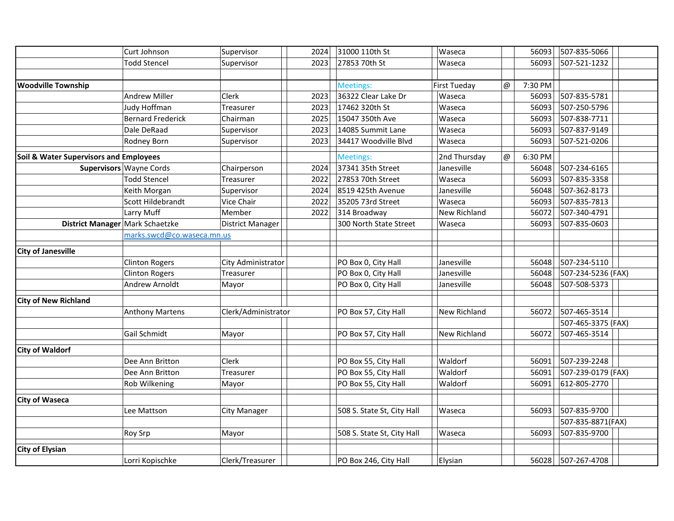|                                        | Curt Johnson                    | Supervisor              | 2024 | 31000 110th St             | Waseca              |          | 56093   | 507-835-5066       |  |
|----------------------------------------|---------------------------------|-------------------------|------|----------------------------|---------------------|----------|---------|--------------------|--|
|                                        | <b>Todd Stencel</b>             | Supervisor              | 2023 | 27853 70th St              | Waseca              |          | 56093   | 507-521-1232       |  |
|                                        |                                 |                         |      |                            |                     |          |         |                    |  |
| <b>Woodville Township</b>              |                                 |                         |      | Meetings:                  | <b>First Tueday</b> | @        | 7:30 PM |                    |  |
|                                        | <b>Andrew Miller</b>            | Clerk                   | 2023 | 36322 Clear Lake Dr        | Waseca              |          | 56093   | 507-835-5781       |  |
|                                        | Judy Hoffman                    | Treasurer               | 2023 | 17462 320th St             | Waseca              |          | 56093   | 507-250-5796       |  |
|                                        | <b>Bernard Frederick</b>        | Chairman                | 2025 | 15047 350th Ave            | Waseca              |          | 56093   | 507-838-7711       |  |
|                                        | Dale DeRaad                     | Supervisor              | 2023 | 14085 Summit Lane          | Waseca              |          | 56093   | 507-837-9149       |  |
|                                        | Rodney Born                     | Supervisor              | 2023 | 34417 Woodville Blvd       | Waseca              |          | 56093   | 507-521-0206       |  |
| Soil & Water Supervisors and Employees |                                 |                         |      | <b>Meetings:</b>           | 2nd Thursday        | $\omega$ | 6:30 PM |                    |  |
|                                        | Supervisors Wayne Cords         | Chairperson             | 2024 | 37341 35th Street          | Janesville          |          | 56048   | 507-234-6165       |  |
|                                        | <b>Todd Stencel</b>             | Treasurer               | 2022 | 27853 70th Street          | Waseca              |          | 56093   | 507-835-3358       |  |
|                                        | Keith Morgan                    | Supervisor              | 2024 | 8519 425th Avenue          | Janesville          |          | 56048   | 507-362-8173       |  |
|                                        | Scott Hildebrandt               | Vice Chair              | 2022 | 35205 73rd Street          | Waseca              |          | 56093   | 507-835-7813       |  |
|                                        | Larry Muff                      | Member                  | 2022 | 314 Broadway               | New Richland        |          | 56072   | 507-340-4791       |  |
|                                        | District Manager Mark Schaetzke | <b>District Manager</b> |      | 300 North State Street     | Waseca              |          | 56093   | 507-835-0603       |  |
|                                        | marks.swcd@co.waseca.mn.us      |                         |      |                            |                     |          |         |                    |  |
| <b>City of Janesville</b>              |                                 |                         |      |                            |                     |          |         |                    |  |
|                                        | <b>Clinton Rogers</b>           | City Administrator      |      | PO Box 0, City Hall        | Janesville          |          | 56048   | 507-234-5110       |  |
|                                        | <b>Clinton Rogers</b>           | Treasurer               |      | PO Box 0, City Hall        | Janesville          |          | 56048   | 507-234-5236 (FAX) |  |
|                                        | Andrew Arnoldt                  | Mayor                   |      | PO Box 0, City Hall        | Janesville          |          | 56048   | 507-508-5373       |  |
| <b>City of New Richland</b>            |                                 |                         |      |                            |                     |          |         |                    |  |
|                                        | <b>Anthony Martens</b>          | Clerk/Administrator     |      | PO Box 57, City Hall       | <b>New Richland</b> |          | 56072   | 507-465-3514       |  |
|                                        |                                 |                         |      |                            |                     |          |         | 507-465-3375 (FAX) |  |
|                                        | Gail Schmidt                    | Mayor                   |      | PO Box 57, City Hall       | New Richland        |          | 56072   | 507-465-3514       |  |
| <b>City of Waldorf</b>                 |                                 |                         |      |                            |                     |          |         |                    |  |
|                                        | Dee Ann Britton                 | Clerk                   |      | PO Box 55, City Hall       | Waldorf             |          | 56091   | 507-239-2248       |  |
|                                        | Dee Ann Britton                 | Treasurer               |      | PO Box 55, City Hall       | Waldorf             |          | 56091   | 507-239-0179 (FAX) |  |
|                                        | Rob Wilkening                   | Mayor                   |      | PO Box 55, City Hall       | Waldorf             |          | 56091   | 612-805-2770       |  |
|                                        |                                 |                         |      |                            |                     |          |         |                    |  |
| <b>City of Waseca</b>                  | Lee Mattson                     | City Manager            |      | 508 S. State St, City Hall | Waseca              |          | 56093   | 507-835-9700       |  |
|                                        |                                 |                         |      |                            |                     |          |         | 507-835-8871(FAX)  |  |
|                                        | Roy Srp                         | Mayor                   |      | 508 S. State St, City Hall | Waseca              |          | 56093   | 507-835-9700       |  |
|                                        |                                 |                         |      |                            |                     |          |         |                    |  |
| <b>City of Elysian</b>                 |                                 |                         |      |                            |                     |          |         |                    |  |
|                                        | Lorri Kopischke                 | Clerk/Treasurer         |      | PO Box 246, City Hall      | Elysian             |          |         | 56028 507-267-4708 |  |